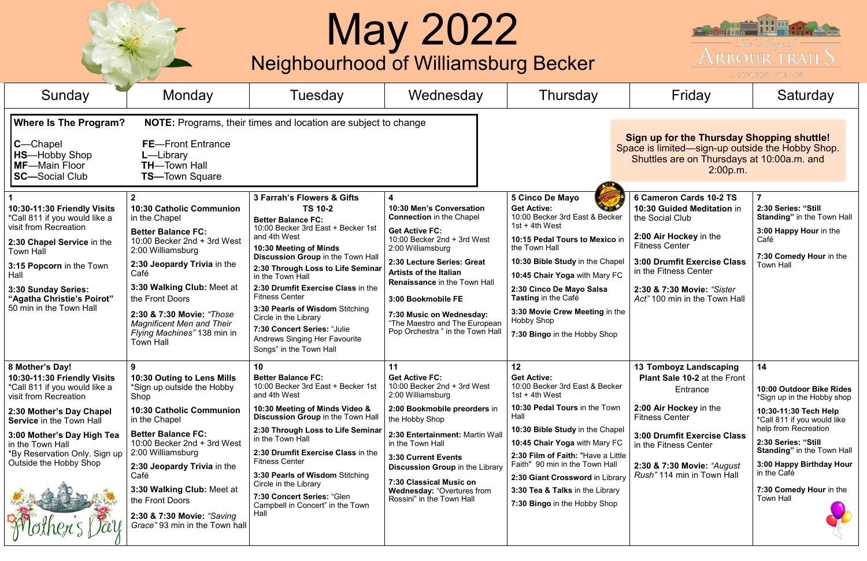## May 2022

|                                                                                                                                                                                                                                                                                      |                                                                                                                                                                                                                                                                                                                                                                    | Neighbourhood of Williamsburg Becker                                                                                                                                                                                                                                                                                                                                                                                                                                          | <b>May 2022</b>                                                                                                                                                                                                                                                                                                                                                            |                                                                                                                                                                                                                                                                                                                                                                           |                                                                                                                                                                                                                                                         | The Village of<br><b>ARBOUR TRAILS</b><br>A SCHLEGEL VILLAGE                                                                                                                                                                                                                                       |
|--------------------------------------------------------------------------------------------------------------------------------------------------------------------------------------------------------------------------------------------------------------------------------------|--------------------------------------------------------------------------------------------------------------------------------------------------------------------------------------------------------------------------------------------------------------------------------------------------------------------------------------------------------------------|-------------------------------------------------------------------------------------------------------------------------------------------------------------------------------------------------------------------------------------------------------------------------------------------------------------------------------------------------------------------------------------------------------------------------------------------------------------------------------|----------------------------------------------------------------------------------------------------------------------------------------------------------------------------------------------------------------------------------------------------------------------------------------------------------------------------------------------------------------------------|---------------------------------------------------------------------------------------------------------------------------------------------------------------------------------------------------------------------------------------------------------------------------------------------------------------------------------------------------------------------------|---------------------------------------------------------------------------------------------------------------------------------------------------------------------------------------------------------------------------------------------------------|----------------------------------------------------------------------------------------------------------------------------------------------------------------------------------------------------------------------------------------------------------------------------------------------------|
| Sunday                                                                                                                                                                                                                                                                               | Monday                                                                                                                                                                                                                                                                                                                                                             | Tuesdav                                                                                                                                                                                                                                                                                                                                                                                                                                                                       | Wednesday                                                                                                                                                                                                                                                                                                                                                                  | Thursday                                                                                                                                                                                                                                                                                                                                                                  | Friday                                                                                                                                                                                                                                                  | Saturday                                                                                                                                                                                                                                                                                           |
| <b>Where Is The Program?</b><br>$C$ -Chapel<br><b>HS-Hobby Shop</b><br>MF-Main Floor<br><b>SC</b> —Social Club                                                                                                                                                                       | <b>FE</b> —Front Entrance<br>$L$ –Library<br><b>TH-Town Hall</b><br><b>TS-Town Square</b>                                                                                                                                                                                                                                                                          | <b>NOTE:</b> Programs, their times and location are subject to change                                                                                                                                                                                                                                                                                                                                                                                                         |                                                                                                                                                                                                                                                                                                                                                                            | Sign up for the Thursday Shopping shuttle!<br>Space is limited—sign-up outside the Hobby Shop.<br>Shuttles are on Thursdays at 10:00a.m. and<br>2:00p.m.                                                                                                                                                                                                                  |                                                                                                                                                                                                                                                         |                                                                                                                                                                                                                                                                                                    |
| 10:30-11:30 Friendly Visits<br>*Call 811 if you would like a<br>visit from Recreation<br>2:30 Chapel Service in the<br><b>Town Hall</b><br>3:15 Popcorn in the Town<br>Hall<br>3:30 Sunday Series:<br>"Agatha Christie's Poirot"<br>50 min in the Town Hall                          | 10:30 Catholic Communion<br>in the Chapel<br><b>Better Balance FC:</b><br>10:00 Becker 2nd + 3rd West<br>2:00 Williamsburg<br>2:30 Jeopardy Trivia in the<br>Café<br>3:30 Walking Club: Meet at<br>the Front Doors<br>2:30 & 7:30 Movie: "Those<br><b>Magnificent Men and Their</b><br>Flying Machines" 138 min in<br><b>Town Hall</b>                             | 3 Farrah's Flowers & Gifts<br><b>TS 10-2</b><br><b>Better Balance FC:</b><br>10:00 Becker 3rd East + Becker 1st<br>and 4th West<br>10:30 Meeting of Minds<br>Discussion Group in the Town Hall<br>2:30 Through Loss to Life Seminar<br>in the Town Hall<br>2:30 Drumfit Exercise Class in the<br><b>Fitness Center</b><br>3:30 Pearls of Wisdom Stitching<br>Circle in the Library<br>7:30 Concert Series: "Julie<br>Andrews Singing Her Favourite<br>Songs" in the Town Hall | 4<br>10:30 Men's Conversation<br><b>Connection</b> in the Chapel<br><b>Get Active FC:</b><br>10:00 Becker 2nd + 3rd West<br>2:00 Williamsburg<br>2:30 Lecture Series: Great<br><b>Artists of the Italian</b><br><b>Renaissance in the Town Hall</b><br>3:00 Bookmobile FE<br>7:30 Music on Wednesday:<br>"The Maestro and The European<br>Pop Orchestra " in the Town Hall | <b>5 Cinco De Mayo</b><br><b>Get Active:</b><br>10:00 Becker 3rd East & Becker<br>$1st + 4th$ West<br>10:15 Pedal Tours to Mexico in<br>the Town Hall<br>10:30 Bible Study in the Chapel<br>10:45 Chair Yoga with Mary FC<br>2:30 Cinco De Mayo Salsa<br>Tasting in the Café<br>3:30 Movie Crew Meeting in the<br><b>Hobby Shop</b><br>7:30 Bingo in the Hobby Shop       | 6 Cameron Cards 10-2 TS<br>10:30 Guided Meditation in<br>the Social Club<br>2:00 Air Hockey in the<br><b>Fitness Center</b><br>3:00 Drumfit Exercise Class<br>in the Fitness Center<br>2:30 & 7:30 Movie: "Sister<br>Act" 100 min in the Town Hall      | 2:30 Series: "Still<br><b>Standing"</b> in the Town Hall<br>3:00 Happy Hour in the<br>Café<br>7:30 Comedy Hour in the<br><b>Town Hall</b>                                                                                                                                                          |
| 8 Mother's Day!<br>10:30-11:30 Friendly Visits<br>*Call 811 if you would like a<br>visit from Recreation<br>2:30 Mother's Day Chapel<br><b>Service in the Town Hall</b><br>3:00 Mother's Day High Tea<br>in the Town Hall<br>*By Reservation Only. Sign up<br>Outside the Hobby Shop | 9<br>10:30 Outing to Lens Mills<br>*Sign up outside the Hobby<br>Shop<br><b>10:30 Catholic Communion</b><br>in the Chapel<br><b>Better Balance FC:</b><br>10:00 Becker 2nd + 3rd West<br>2:00 Williamsburg<br>2:30 Jeopardy Trivia in the<br>Café<br>3:30 Walking Club: Meet at<br>the Front Doors<br>2:30 & 7:30 Movie: "Saving<br>Grace" 93 min in the Town hall | 10<br><b>Better Balance FC:</b><br>10:00 Becker 3rd East + Becker 1st<br>and 4th West<br>10:30 Meeting of Minds Video &<br>Discussion Group in the Town Hall<br>2:30 Through Loss to Life Seminar<br>in the Town Hall<br>2:30 Drumfit Exercise Class in the<br><b>Fitness Center</b><br>3:30 Pearls of Wisdom Stitching<br>Circle in the Library<br>7:30 Concert Series: "Glen<br>Campbell in Concert" in the Town<br>Hall                                                    | 11<br><b>Get Active FC:</b><br>10:00 Becker 2nd + 3rd West<br>2:00 Williamsburg<br>2:00 Bookmobile preorders in<br>the Hobby Shop<br>2:30 Entertainment: Martin Wall<br>in the Town Hall<br>3:30 Current Events<br><b>Discussion Group in the Library</b><br>7:30 Classical Music on<br><b>Wednesday: "Overtures from</b><br>Rossini" in the Town Hall                     | 12<br><b>Get Active:</b><br>10:00 Becker 3rd East & Becker<br>$1st + 4th$ West<br>10:30 Pedal Tours in the Town<br>Hall<br>10:30 Bible Study in the Chapel<br>10:45 Chair Yoga with Mary FC<br>2:30 Film of Faith: "Have a Little<br>Faith" 90 min in the Town Hall<br>2:30 Giant Crossword in Library<br>3:30 Tea & Talks in the Library<br>7:30 Bingo in the Hobby Shop | <b>13 Tomboyz Landscaping</b><br><b>Plant Sale 10-2 at the Front</b><br>Entrance<br>2:00 Air Hockey in the<br><b>Fitness Center</b><br>3:00 Drumfit Exercise Class<br>in the Fitness Center<br>2:30 & 7:30 Movie: "August<br>Rush" 114 min in Town Hall | 14<br>10:00 Outdoor Bike Rides<br>*Sign up in the Hobby shop<br>10:30-11:30 Tech Help<br>*Call 811 if you would like<br>help from Recreation<br>2:30 Series: "Still<br><b>Standing"</b> in the Town Hall<br>3:00 Happy Birthday Hour<br>in the Café<br>7:30 Comedy Hour in the<br><b>Town Hall</b> |